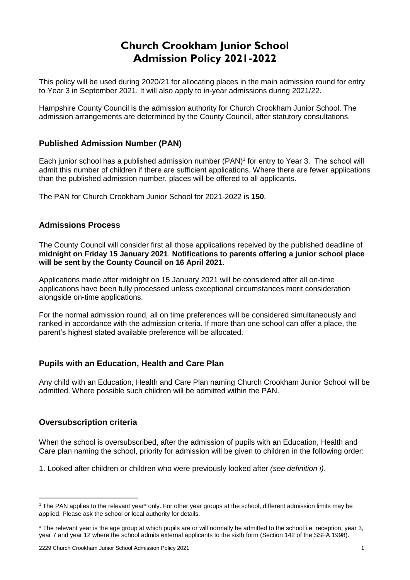# **Church Crookham Junior School Admission Policy 2021-2022**

This policy will be used during 2020/21 for allocating places in the main admission round for entry to Year 3 in September 2021. It will also apply to in-year admissions during 2021/22.

Hampshire County Council is the admission authority for Church Crookham Junior School. The admission arrangements are determined by the County Council, after statutory consultations.

# **Published Admission Number (PAN)**

Each junior school has a published admission number (PAN) 1 for entry to Year 3. The school will admit this number of children if there are sufficient applications. Where there are fewer applications than the published admission number, places will be offered to all applicants.

The PAN for Church Crookham Junior School for 2021-2022 is **150**.

## **Admissions Process**

The County Council will consider first all those applications received by the published deadline of **midnight on Friday 15 January 2021**. **Notifications to parents offering a junior school place will be sent by the County Council on 16 April 2021.**

Applications made after midnight on 15 January 2021 will be considered after all on-time applications have been fully processed unless exceptional circumstances merit consideration alongside on-time applications.

For the normal admission round, all on time preferences will be considered simultaneously and ranked in accordance with the admission criteria. If more than one school can offer a place, the parent's highest stated available preference will be allocated.

#### **Pupils with an Education, Health and Care Plan**

Any child with an Education, Health and Care Plan naming Church Crookham Junior School will be admitted. Where possible such children will be admitted within the PAN.

#### **Oversubscription criteria**

1

When the school is oversubscribed, after the admission of pupils with an Education, Health and Care plan naming the school, priority for admission will be given to children in the following order:

1. Looked after children or children who were previously looked after *(see definition i)*.

 $1$  The PAN applies to the relevant year\* only. For other year groups at the school, different admission limits may be applied. Please ask the school or local authority for details.

<sup>\*</sup> The relevant year is the age group at which pupils are or will normally be admitted to the school i.e. reception, year 3, year 7 and year 12 where the school admits external applicants to the sixth form (Section 142 of the SSFA 1998).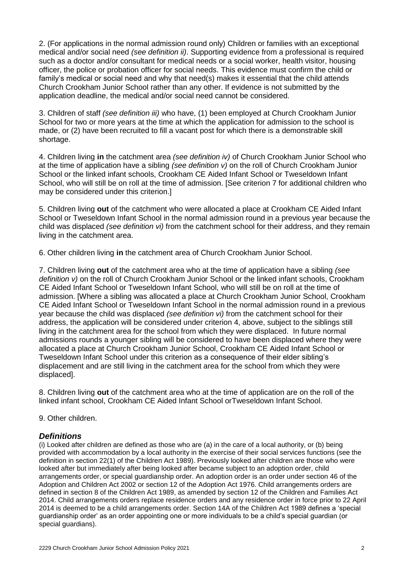2. (For applications in the normal admission round only) Children or families with an exceptional medical and/or social need *(see definition ii)*. Supporting evidence from a professional is required such as a doctor and/or consultant for medical needs or a social worker, health visitor, housing officer, the police or probation officer for social needs. This evidence must confirm the child or family's medical or social need and why that need(s) makes it essential that the child attends Church Crookham Junior School rather than any other. If evidence is not submitted by the application deadline, the medical and/or social need cannot be considered.

3. Children of staff *(see definition iii)* who have, (1) been employed at Church Crookham Junior School for two or more years at the time at which the application for admission to the school is made, or (2) have been recruited to fill a vacant post for which there is a demonstrable skill shortage.

4. Children living **in** the catchment area *(see definition iv)* of Church Crookham Junior School who at the time of application have a sibling *(see definition v)* on the roll of Church Crookham Junior School or the linked infant schools, Crookham CE Aided Infant School or Tweseldown Infant School, who will still be on roll at the time of admission. [See criterion 7 for additional children who may be considered under this criterion.]

5. Children living **out** of the catchment who were allocated a place at Crookham CE Aided Infant School or Tweseldown Infant School in the normal admission round in a previous year because the child was displaced *(see definition vi)* from the catchment school for their address, and they remain living in the catchment area.

6. Other children living **in** the catchment area of Church Crookham Junior School.

7. Children living **out** of the catchment area who at the time of application have a sibling *(see definition v)* on the roll of Church Crookham Junior School or the linked infant schools, Crookham CE Aided Infant School or Tweseldown Infant School, who will still be on roll at the time of admission. [Where a sibling was allocated a place at Church Crookham Junior School, Crookham CE Aided Infant School or Tweseldown Infant School in the normal admission round in a previous year because the child was displaced *(see definition vi)* from the catchment school for their address, the application will be considered under criterion 4, above, subject to the siblings still living in the catchment area for the school from which they were displaced. In future normal admissions rounds a younger sibling will be considered to have been displaced where they were allocated a place at Church Crookham Junior School, Crookham CE Aided Infant School or Tweseldown Infant School under this criterion as a consequence of their elder sibling's displacement and are still living in the catchment area for the school from which they were displaced].

8. Children living **out** of the catchment area who at the time of application are on the roll of the linked infant school, Crookham CE Aided Infant School orTweseldown Infant School.

9. Other children.

# *Definitions*

(i) Looked after children are defined as those who are (a) in the care of a local authority, or (b) being provided with accommodation by a local authority in the exercise of their social services functions (see the definition in section 22(1) of the Children Act 1989). Previously looked after children are those who were looked after but immediately after being looked after became subject to an adoption order, child arrangements order, or special guardianship order. An adoption order is an order under section 46 of the Adoption and Children Act 2002 or section 12 of the Adoption Act 1976. Child arrangements orders are defined in section 8 of the Children Act 1989, as amended by section 12 of the Children and Families Act 2014. Child arrangements orders replace residence orders and any residence order in force prior to 22 April 2014 is deemed to be a child arrangements order. Section 14A of the Children Act 1989 defines a 'special guardianship order' as an order appointing one or more individuals to be a child's special guardian (or special quardians).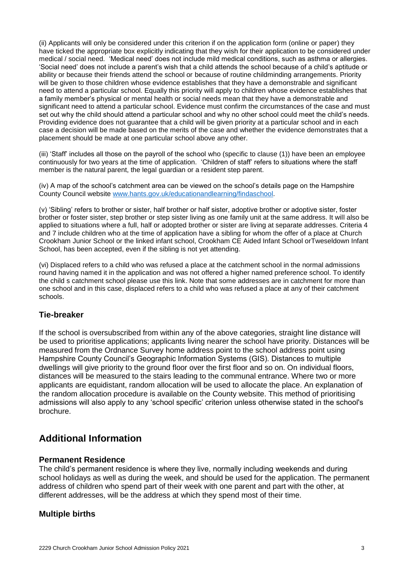(ii) Applicants will only be considered under this criterion if on the application form (online or paper) they have ticked the appropriate box explicitly indicating that they wish for their application to be considered under medical / social need. 'Medical need' does not include mild medical conditions, such as asthma or allergies. 'Social need' does not include a parent's wish that a child attends the school because of a child's aptitude or ability or because their friends attend the school or because of routine childminding arrangements. Priority will be given to those children whose evidence establishes that they have a demonstrable and significant need to attend a particular school. Equally this priority will apply to children whose evidence establishes that a family member's physical or mental health or social needs mean that they have a demonstrable and significant need to attend a particular school. Evidence must confirm the circumstances of the case and must set out why the child should attend a particular school and why no other school could meet the child's needs. Providing evidence does not guarantee that a child will be given priority at a particular school and in each case a decision will be made based on the merits of the case and whether the evidence demonstrates that a placement should be made at one particular school above any other.

(iii) 'Staff' includes all those on the payroll of the school who (specific to clause (1)) have been an employee continuously for two years at the time of application. 'Children of staff' refers to situations where the staff member is the natural parent, the legal guardian or a resident step parent.

(iv) A map of the school's catchment area can be viewed on the school's details page on the Hampshire County Council website [www.hants.gov.uk/educationandlearning/findaschool.](http://www.hants.gov.uk/educationandlearning/findaschool)

(v) 'Sibling' refers to brother or sister, half brother or half sister, adoptive brother or adoptive sister, foster brother or foster sister, step brother or step sister living as one family unit at the same address. It will also be applied to situations where a full, half or adopted brother or sister are living at separate addresses. Criteria 4 and 7 include children who at the time of application have a sibling for whom the offer of a place at Church Crookham Junior School or the linked infant school, Crookham CE Aided Infant School orTweseldown Infant School, has been accepted, even if the sibling is not yet attending.

(vi) Displaced refers to a child who was refused a place at the catchment school in the normal admissions round having named it in the application and was not offered a higher named preference school. To identify the child s catchment school please use this link. Note that some addresses are in catchment for more than one school and in this case, displaced refers to a child who was refused a place at any of their catchment schools.

## **Tie-breaker**

If the school is oversubscribed from within any of the above categories, straight line distance will be used to prioritise applications; applicants living nearer the school have priority. Distances will be measured from the Ordnance Survey home address point to the school address point using Hampshire County Council's Geographic Information Systems (GIS). Distances to multiple dwellings will give priority to the ground floor over the first floor and so on. On individual floors, distances will be measured to the stairs leading to the communal entrance. Where two or more applicants are equidistant, random allocation will be used to allocate the place. An explanation of the random allocation procedure is available on the County website. This method of prioritising admissions will also apply to any 'school specific' criterion unless otherwise stated in the school's brochure.

# **Additional Information**

#### **Permanent Residence**

The child's permanent residence is where they live, normally including weekends and during school holidays as well as during the week, and should be used for the application. The permanent address of children who spend part of their week with one parent and part with the other, at different addresses, will be the address at which they spend most of their time.

#### **Multiple births**